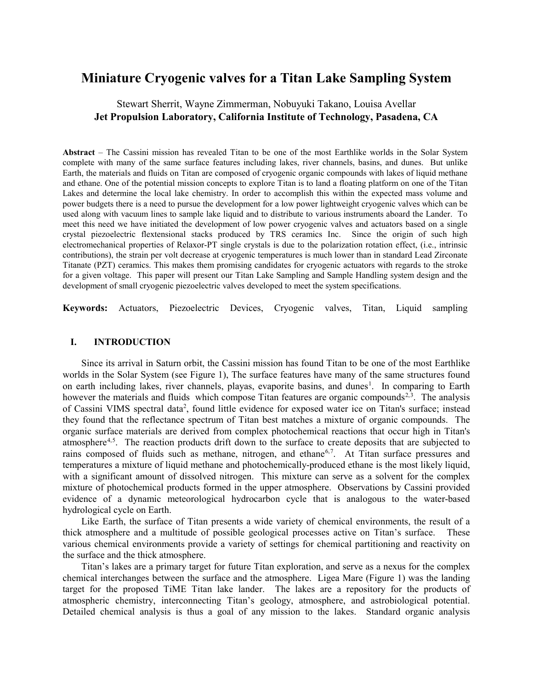# **Miniature Cryogenic valves for a Titan Lake Sampling System**

## Stewart Sherrit, Wayne Zimmerman, Nobuyuki Takano, Louisa Avellar **Jet Propulsion Laboratory, California Institute of Technology, Pasadena, CA**

**Abstract** – The Cassini mission has revealed Titan to be one of the most Earthlike worlds in the Solar System complete with many of the same surface features including lakes, river channels, basins, and dunes. But unlike Earth, the materials and fluids on Titan are composed of cryogenic organic compounds with lakes of liquid methane and ethane. One of the potential mission concepts to explore Titan is to land a floating platform on one of the Titan Lakes and determine the local lake chemistry. In order to accomplish this within the expected mass volume and power budgets there is a need to pursue the development for a low power lightweight cryogenic valves which can be used along with vacuum lines to sample lake liquid and to distribute to various instruments aboard the Lander. To meet this need we have initiated the development of low power cryogenic valves and actuators based on a single crystal piezoelectric flextensional stacks produced by TRS ceramics Inc. Since the origin of such high electromechanical properties of Relaxor-PT single crystals is due to the polarization rotation effect, (i.e., intrinsic contributions), the strain per volt decrease at cryogenic temperatures is much lower than in standard Lead Zirconate Titanate (PZT) ceramics. This makes them promising candidates for cryogenic actuators with regards to the stroke for a given voltage. This paper will present our Titan Lake Sampling and Sample Handling system design and the development of small cryogenic piezoelectric valves developed to meet the system specifications.

**Keywords:** Actuators, Piezoelectric Devices, Cryogenic valves, Titan, Liquid sampling

## <span id="page-0-0"></span>**I. INTRODUCTION**

Since its arrival in Saturn orbit, the Cassini mission has found Titan to be one of the most Earthlike worlds in the Solar System (see Figure 1), The surface features have many of the same structures found on earth including lakes, river channels, playas, evaporite basins, and dunes<sup>[1](#page-8-0)</sup>. In comparing to Earth however the materials and fluids which compose Titan features are organic compounds<sup>[2](#page-8-1),[3](#page-8-2)</sup>. The analysis of Cassini VIMS spectral data<sup>2</sup>, found little evidence for exposed water ice on Titan's surface; instead they found that the reflectance spectrum of Titan best matches a mixture of organic compounds. The organic surface materials are derived from complex photochemical reactions that occur high in Titan's atmosphere<sup>[4,](#page-8-3)[5](#page-8-4)</sup>. The reaction products drift down to the surface to create deposits that are subjected to rains composed of fluids such as methane, nitrogen, and ethane<sup>[6](#page-8-5),[7](#page-8-6)</sup>. At Titan surface pressures and temperatures a mixture of liquid methane and photochemically-produced ethane is the most likely liquid, with a significant amount of dissolved nitrogen. This mixture can serve as a solvent for the complex mixture of photochemical products formed in the upper atmosphere. Observations by Cassini provided evidence of a dynamic meteorological hydrocarbon cycle that is analogous to the water-based hydrological cycle on Earth.

Like Earth, the surface of Titan presents a wide variety of chemical environments, the result of a thick atmosphere and a multitude of possible geological processes active on Titan's surface. These various chemical environments provide a variety of settings for chemical partitioning and reactivity on the surface and the thick atmosphere.

Titan's lakes are a primary target for future Titan exploration, and serve as a nexus for the complex chemical interchanges between the surface and the atmosphere. Ligea Mare (Figure 1) was the landing target for the proposed TiME Titan lake lander. The lakes are a repository for the products of atmospheric chemistry, interconnecting Titan's geology, atmosphere, and astrobiological potential. Detailed chemical analysis is thus a goal of any mission to the lakes. Standard organic analysis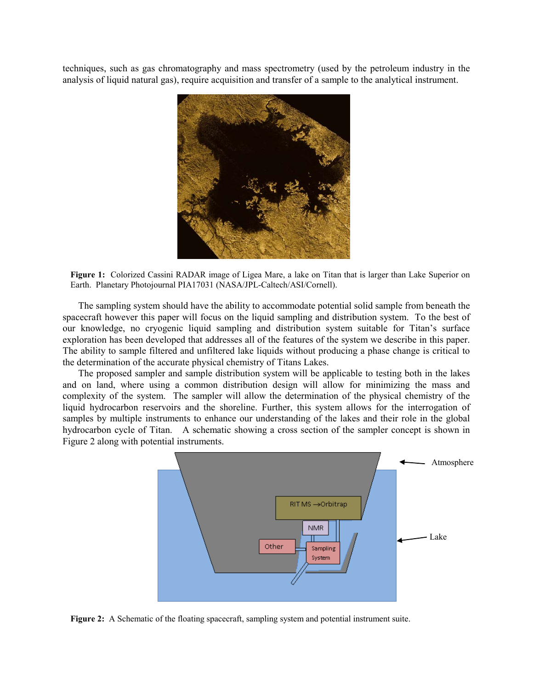techniques, such as gas chromatography and mass spectrometry (used by the petroleum industry in the analysis of liquid natural gas), require acquisition and transfer of a sample to the analytical instrument.



**Figure 1:** Colorized Cassini RADAR image of Ligea Mare, a lake on Titan that is larger than Lake Superior on Earth. Planetary Photojournal PIA17031 (NASA/JPL-Caltech/ASI/Cornell).

The sampling system should have the ability to accommodate potential solid sample from beneath the spacecraft however this paper will focus on the liquid sampling and distribution system. To the best of our knowledge, no cryogenic liquid sampling and distribution system suitable for Titan's surface exploration has been developed that addresses all of the features of the system we describe in this paper. The ability to sample filtered and unfiltered lake liquids without producing a phase change is critical to the determination of the accurate physical chemistry of Titans Lakes.

The proposed sampler and sample distribution system will be applicable to testing both in the lakes and on land, where using a common distribution design will allow for minimizing the mass and complexity of the system. The sampler will allow the determination of the physical chemistry of the liquid hydrocarbon reservoirs and the shoreline. Further, this system allows for the interrogation of samples by multiple instruments to enhance our understanding of the lakes and their role in the global hydrocarbon cycle of Titan. A schematic showing a cross section of the sampler concept is shown in Figure 2 along with potential instruments.



**Figure 2:** A Schematic of the floating spacecraft, sampling system and potential instrument suite.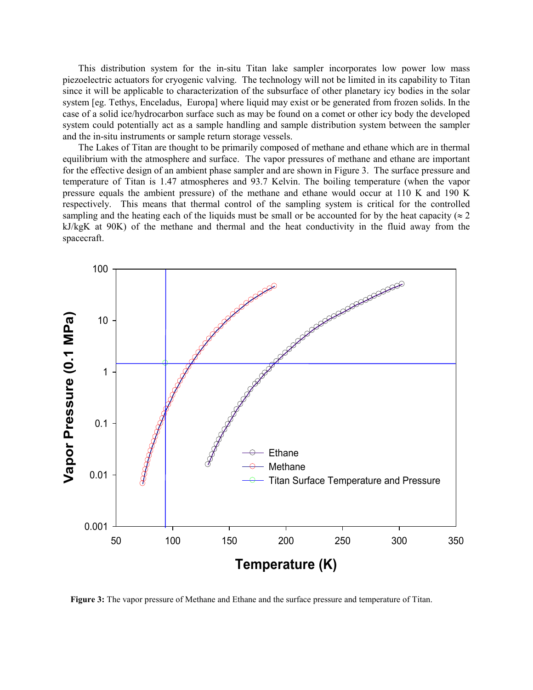This distribution system for the in-situ Titan lake sampler incorporates low power low mass piezoelectric actuators for cryogenic valving. The technology will not be limited in its capability to Titan since it will be applicable to characterization of the subsurface of other planetary icy bodies in the solar system [eg. Tethys, Enceladus, Europa] where liquid may exist or be generated from frozen solids. In the case of a solid ice/hydrocarbon surface such as may be found on a comet or other icy body the developed system could potentially act as a sample handling and sample distribution system between the sampler and the in-situ instruments or sample return storage vessels.

The Lakes of Titan are thought to be primarily composed of methane and ethane which are in thermal equilibrium with the atmosphere and surface. The vapor pressures of methane and ethane are important for the effective design of an ambient phase sampler and are shown in Figure 3. The surface pressure and temperature of Titan is 1.47 atmospheres and 93.7 Kelvin. The boiling temperature (when the vapor pressure equals the ambient pressure) of the methane and ethane would occur at 110 K and 190 K respectively. This means that thermal control of the sampling system is critical for the controlled sampling and the heating each of the liquids must be small or be accounted for by the heat capacity ( $\approx 2$ ) kJ/kgK at 90K) of the methane and thermal and the heat conductivity in the fluid away from the spacecraft.



**Figure 3:** The vapor pressure of Methane and Ethane and the surface pressure and temperature of Titan.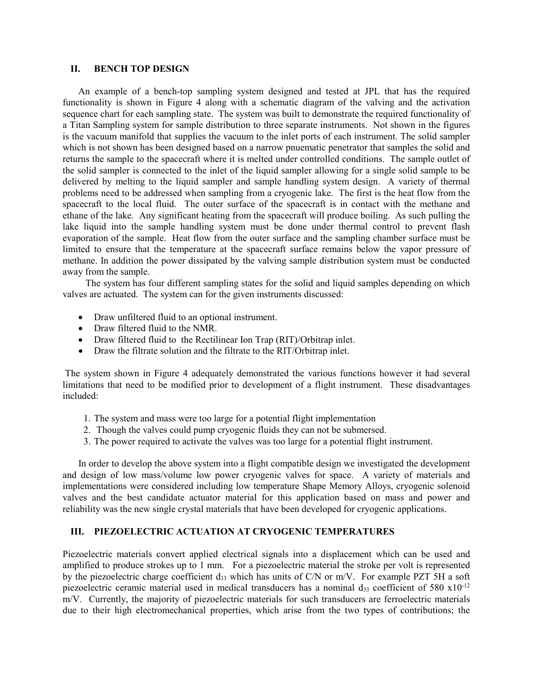## **II. BENCH TOP DESIGN**

An example of a bench-top sampling system designed and tested at JPL that has the required functionality is shown in Figure 4 along with a schematic diagram of the valving and the activation sequence chart for each sampling state. The system was built to demonstrate the required functionality of a Titan Sampling system for sample distribution to three separate instruments. Not shown in the figures is the vacuum manifold that supplies the vacuum to the inlet ports of each instrument. The solid sampler which is not shown has been designed based on a narrow pnuematic penetrator that samples the solid and returns the sample to the spacecraft where it is melted under controlled conditions. The sample outlet of the solid sampler is connected to the inlet of the liquid sampler allowing for a single solid sample to be delivered by melting to the liquid sampler and sample handling system design. A variety of thermal problems need to be addressed when sampling from a cryogenic lake. The first is the heat flow from the spacecraft to the local fluid. The outer surface of the spacecraft is in contact with the methane and ethane of the lake. Any significant heating from the spacecraft will produce boiling. As such pulling the lake liquid into the sample handling system must be done under thermal control to prevent flash evaporation of the sample. Heat flow from the outer surface and the sampling chamber surface must be limited to ensure that the temperature at the spacecraft surface remains below the vapor pressure of methane. In addition the power dissipated by the valving sample distribution system must be conducted away from the sample.

 The system has four different sampling states for the solid and liquid samples depending on which valves are actuated. The system can for the given instruments discussed:

- Draw unfiltered fluid to an optional instrument.
- Draw filtered fluid to the NMR.
- Draw filtered fluid to the Rectilinear Ion Trap (RIT)/Orbitrap inlet.
- Draw the filtrate solution and the filtrate to the RIT/Orbitrap inlet.

The system shown in Figure 4 adequately demonstrated the various functions however it had several limitations that need to be modified prior to development of a flight instrument. These disadvantages included:

- 1. The system and mass were too large for a potential flight implementation
- 2. Though the valves could pump cryogenic fluids they can not be submersed.
- 3. The power required to activate the valves was too large for a potential flight instrument.

In order to develop the above system into a flight compatible design we investigated the development and design of low mass/volume low power cryogenic valves for space. A variety of materials and implementations were considered including low temperature Shape Memory Alloys, cryogenic solenoid valves and the best candidate actuator material for this application based on mass and power and reliability was the new single crystal materials that have been developed for cryogenic applications.

## **III. PIEZOELECTRIC ACTUATION AT CRYOGENIC TEMPERATURES**

Piezoelectric materials convert applied electrical signals into a displacement which can be used and amplified to produce strokes up to 1 mm. For a piezoelectric material the stroke per volt is represented by the piezoelectric charge coefficient  $d_{33}$  which has units of C/N or m/V. For example PZT 5H a soft piezoelectric ceramic material used in medical transducers has a nominal  $d_{33}$  coefficient of 580  $\times 10^{-12}$ m/V. Currently, the majority of piezoelectric materials for such transducers are ferroelectric materials due to their high electromechanical properties, which arise from the two types of contributions; the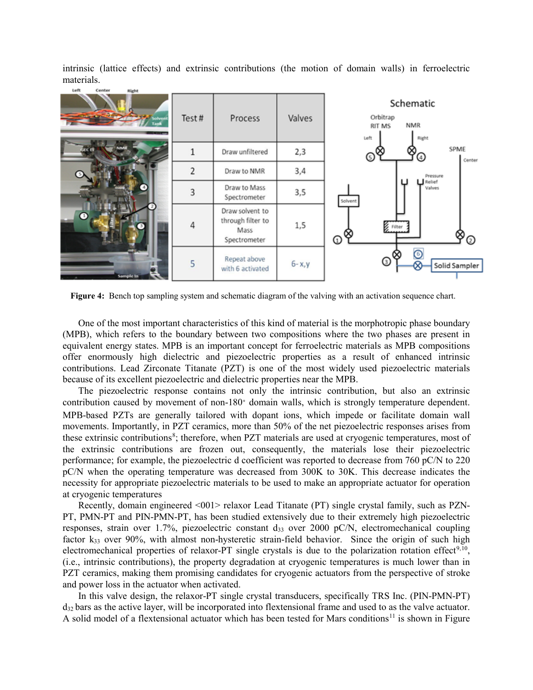intrinsic (lattice effects) and extrinsic contributions (the motion of domain walls) in ferroelectric materials.



**Figure 4:** Bench top sampling system and schematic diagram of the valving with an activation sequence chart.

One of the most important characteristics of this kind of material is the morphotropic phase boundary (MPB), which refers to the boundary between two compositions where the two phases are present in equivalent energy states. MPB is an important concept for ferroelectric materials as MPB compositions offer enormously high dielectric and piezoelectric properties as a result of enhanced intrinsic contributions. Lead Zirconate Titanate (PZT) is one of the most widely used piezoelectric materials because of its excellent piezoelectric and dielectric properties near the MPB.

The piezoelectric response contains not only the intrinsic contribution, but also an extrinsic contribution caused by movement of non-180˚ domain walls, which is strongly temperature dependent. MPB-based PZTs are generally tailored with dopant ions, which impede or facilitate domain wall movements. Importantly, in PZT ceramics, more than 50% of the net piezoelectric responses arises from these extrinsic contributions<sup>[8](#page-9-0)</sup>; therefore, when PZT materials are used at cryogenic temperatures, most of the extrinsic contributions are frozen out, consequently, the materials lose their piezoelectric performance; for example, the piezoelectric d coefficient was reported to decrease from 760 pC/N to 220 pC/N when the operating temperature was decreased from 300K to 30K. This decrease indicates the necessity for appropriate piezoelectric materials to be used to make an appropriate actuator for operation at cryogenic temperatures

Recently, domain engineered <001> relaxor Lead Titanate (PT) single crystal family, such as PZN-PT, PMN-PT and PIN-PMN-PT, has been studied extensively due to their extremely high piezoelectric responses, strain over 1.7%, piezoelectric constant  $d_{33}$  over 2000 pC/N, electromechanical coupling factor k<sub>33</sub> over 90%, with almost non-hysteretic strain-field behavior. Since the origin of such high electromechanical properties of relaxor-PT single crystals is due to the polarization rotation effect<sup>[9](#page-9-1),[10](#page-9-2)</sup>, (i.e., intrinsic contributions), the property degradation at cryogenic temperatures is much lower than in PZT ceramics, making them promising candidates for cryogenic actuators from the perspective of stroke and power loss in the actuator when activated.

<span id="page-4-0"></span>In this valve design, the relaxor-PT single crystal transducers, specifically TRS Inc. (PIN-PMN-PT)  $d_{32}$  bars as the active layer, will be incorporated into flextensional frame and used to as the valve actuator. A solid model of a flextensional actuator which has been tested for Mars conditions<sup>[11](#page-9-3)</sup> is shown in Figure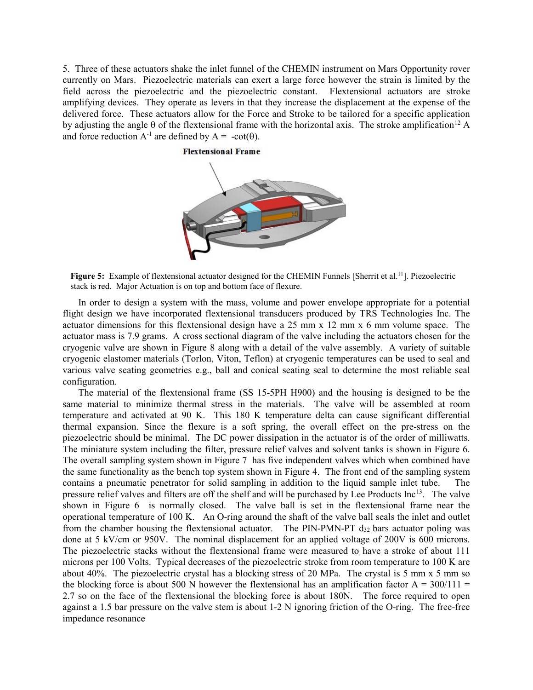5. Three of these actuators shake the inlet funnel of the CHEMIN instrument on Mars Opportunity rover currently on Mars. Piezoelectric materials can exert a large force however the strain is limited by the field across the piezoelectric and the piezoelectric constant. Flextensional actuators are stroke amplifying devices. They operate as levers in that they increase the displacement at the expense of the delivered force. These actuators allow for the Force and Stroke to be tailored for a specific application by adjusting the angle  $\theta$  of the flextensional frame with the horizontal axis. The stroke amplification<sup>[12](#page-9-4)</sup> A and force reduction  $A^{-1}$  are defined by  $A = -cot(\theta)$ .



**Figure 5:** Example of flextensional actuator designed for the CHEMIN Funnels [Sherrit et al.<sup>11</sup>]. Piezoelectric stack is red. Major Actuation is on top and bottom face of flexure.

In order to design a system with the mass, volume and power envelope appropriate for a potential flight design we have incorporated flextensional transducers produced by TRS Technologies Inc. The actuator dimensions for this flextensional design have a 25 mm x 12 mm x 6 mm volume space. The actuator mass is 7.9 grams. A cross sectional diagram of the valve including the actuators chosen for the cryogenic valve are shown in Figure 8 along with a detail of the valve assembly. A variety of suitable cryogenic elastomer materials (Torlon, Viton, Teflon) at cryogenic temperatures can be used to seal and various valve seating geometries e.g., ball and conical seating seal to determine the most reliable seal configuration.

The material of the flextensional frame (SS 15-5PH H900) and the housing is designed to be the same material to minimize thermal stress in the materials. The valve will be assembled at room temperature and activated at 90 K. This 180 K temperature delta can cause significant differential thermal expansion. Since the flexure is a soft spring, the overall effect on the pre-stress on the piezoelectric should be minimal. The DC power dissipation in the actuator is of the order of milliwatts. The miniature system including the filter, pressure relief valves and solvent tanks is shown in Figure 6. The overall sampling system shown in Figure 7 has five independent valves which when combined have the same functionality as the bench top system shown in Figure 4. The front end of the sampling system contains a pneumatic penetrator for solid sampling in addition to the liquid sample inlet tube. The pressure relief valves and filters are off the shelf and will be purchased by Lee Products Inc[13](#page-9-5). The valve shown in Figure 6 is normally closed. The valve ball is set in the flextensional frame near the operational temperature of 100 K. An O-ring around the shaft of the valve ball seals the inlet and outlet from the chamber housing the flextensional actuator. The PIN-PMN-PT  $d_{32}$  bars actuator poling was done at 5 kV/cm or 950V. The nominal displacement for an applied voltage of 200V is 600 microns. The piezoelectric stacks without the flextensional frame were measured to have a stroke of about 111 microns per 100 Volts. Typical decreases of the piezoelectric stroke from room temperature to 100 K are about 40%. The piezoelectric crystal has a blocking stress of 20 MPa. The crystal is 5 mm x 5 mm so the blocking force is about 500 N however the flextensional has an amplification factor  $A = 300/111 =$ 2.7 so on the face of the flextensional the blocking force is about 180N. The force required to open against a 1.5 bar pressure on the valve stem is about 1-2 N ignoring friction of the O-ring. The free-free impedance resonance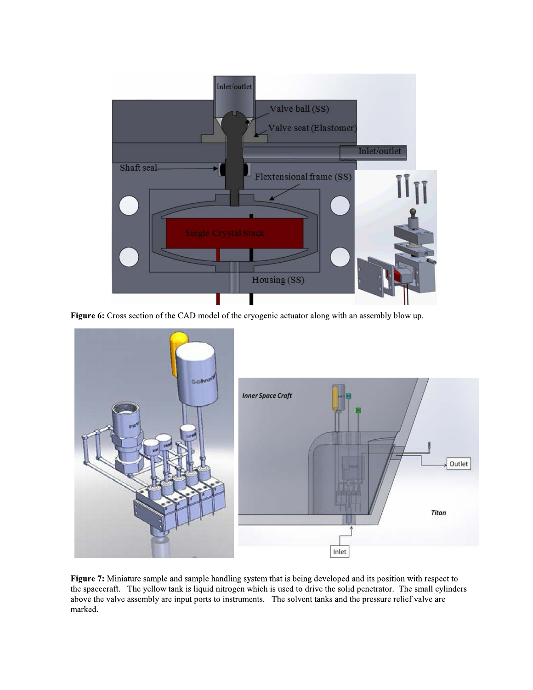

Figure 6: Cross section of the CAD model of the cryogenic actuator along with an assembly blow up.



Figure 7: Miniature sample and sample handling system that is being developed and its position with respect to the spacecraft. The yellow tank is liquid nitrogen which is used to drive the solid penetrator. The small cylinders above the valve assembly are input ports to instruments. The solvent tanks and the pressure relief valve are marked.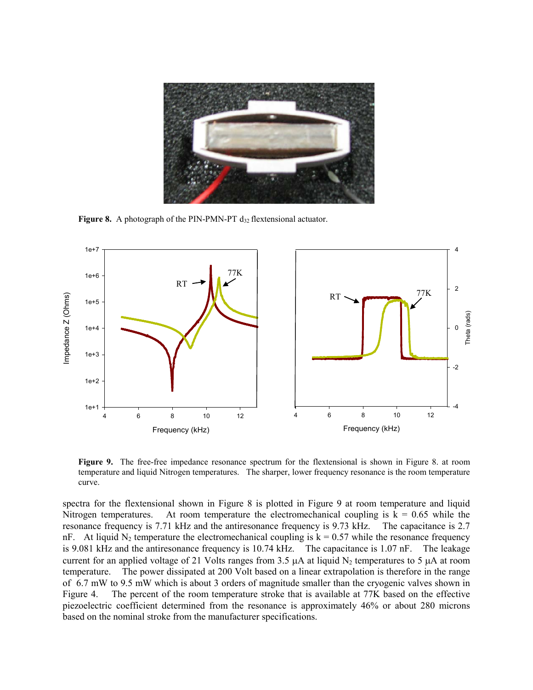

**Figure 8.** A photograph of the PIN-PMN-PT  $d_{32}$  flextensional actuator.



**Figure 9.** The free-free impedance resonance spectrum for the flextensional is shown in Figure 8. at room temperature and liquid Nitrogen temperatures. The sharper, lower frequency resonance is the room temperature curve.

spectra for the flextensional shown in Figure 8 is plotted in Figure 9 at room temperature and liquid Nitrogen temperatures. At room temperature the electromechanical coupling is  $k = 0.65$  while the resonance frequency is 7.71 kHz and the antiresonance frequency is 9.73 kHz. The capacitance is 2.7 nF. At liquid N<sub>2</sub> temperature the electromechanical coupling is  $k = 0.57$  while the resonance frequency is 9.081 kHz and the antiresonance frequency is 10.74 kHz. The capacitance is 1.07 nF. The leakage current for an applied voltage of 21 Volts ranges from 3.5  $\mu$ A at liquid N<sub>2</sub> temperatures to 5  $\mu$ A at room temperature. The power dissipated at 200 Volt based on a linear extrapolation is therefore in the range of 6.7 mW to 9.5 mW which is about 3 orders of magnitude smaller than the cryogenic valves shown in Figure 4. The percent of the room temperature stroke that is available at 77K based on the effective piezoelectric coefficient determined from the resonance is approximately 46% or about 280 microns based on the nominal stroke from the manufacturer specifications.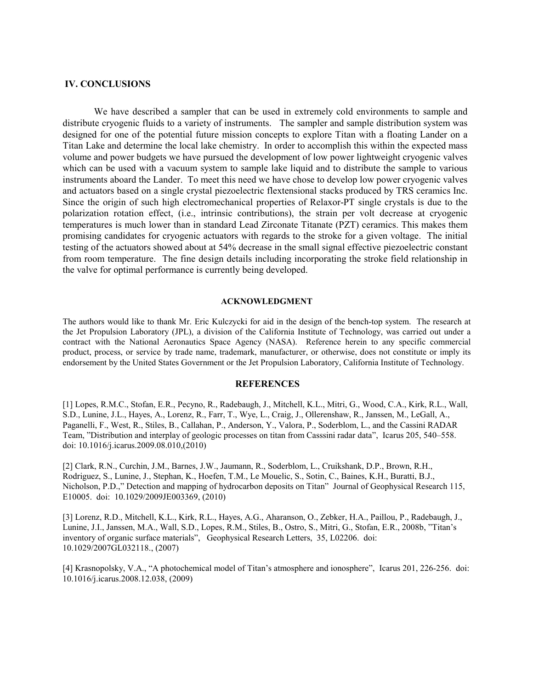### <span id="page-8-4"></span>**IV. CONCLUSIONS**

<span id="page-8-6"></span><span id="page-8-5"></span>We have described a sampler that can be used in extremely cold environments to sample and distribute cryogenic fluids to a variety of instruments. The sampler and sample distribution system was designed for one of the potential future mission concepts to explore Titan with a floating Lander on a Titan Lake and determine the local lake chemistry. In order to accomplish this within the expected mass volume and power budgets we have pursued the development of low power lightweight cryogenic valves which can be used with a vacuum system to sample lake liquid and to distribute the sample to various instruments aboard the Lander. To meet this need we have chose to develop low power cryogenic valves and actuators based on a single crystal piezoelectric flextensional stacks produced by TRS ceramics Inc. Since the origin of such high electromechanical properties of Relaxor-PT single crystals is due to the polarization rotation effect, (i.e., intrinsic contributions), the strain per volt decrease at cryogenic temperatures is much lower than in standard Lead Zirconate Titanate (PZT) ceramics. This makes them promising candidates for cryogenic actuators with regards to the stroke for a given voltage. The initial testing of the actuators showed about at 54% decrease in the small signal effective piezoelectric constant from room temperature. The fine design details including incorporating the stroke field relationship in the valve for optimal performance is currently being developed.

#### **ACKNOWLEDGMENT**

The authors would like to thank Mr. Eric Kulczycki for aid in the design of the bench-top system. The research at the Jet Propulsion Laboratory (JPL), a division of the California Institute of Technology, was carried out under a contract with the National Aeronautics Space Agency (NASA). Reference herein to any specific commercial product, process, or service by trade name, trademark, manufacturer, or otherwise, does not constitute or imply its endorsement by the United States Government or the Jet Propulsion Laboratory, California Institute of Technology.

### **REFERENCES**

<span id="page-8-0"></span>[1] Lopes, R.M.C., Stofan, E.R., Pecyno, R., Radebaugh, J., Mitchell, K.L., Mitri, G., Wood, C.A., Kirk, R.L., Wall, S.D., Lunine, J.L., Hayes, A., Lorenz, R., Farr, T., Wye, L., Craig, J., Ollerenshaw, R., Janssen, M., LeGall, A., Paganelli, F., West, R., Stiles, B., Callahan, P., Anderson, Y., Valora, P., Soderblom, L., and the Cassini RADAR Team, "Distribution and interplay of geologic processes on titan from Casssini radar data", Icarus 205, 540–558. doi: 10.1016/j.icarus.2009.08.010,(2010)

<span id="page-8-1"></span>[2] Clark, R.N., Curchin, J.M., Barnes, J.W., Jaumann, R., Soderblom, L., Cruikshank, D.P., Brown, R.H., Rodriguez, S., Lunine, J., Stephan, K., Hoefen, T.M., Le Mouelic, S., Sotin, C., Baines, K.H., Buratti, B.J., Nicholson, P.D.," Detection and mapping of hydrocarbon deposits on Titan" Journal of Geophysical Research 115, E10005. doi: 10.1029/2009JE003369, (2010)

<span id="page-8-2"></span>[3] Lorenz, R.D., Mitchell, K.L., Kirk, R.L., Hayes, A.G., Aharanson, O., Zebker, H.A., Paillou, P., Radebaugh, J., Lunine, J.I., Janssen, M.A., Wall, S.D., Lopes, R.M., Stiles, B., Ostro, S., Mitri, G., Stofan, E.R., 2008b, "Titan's inventory of organic surface materials", Geophysical Research Letters, 35, L02206. doi: 10.1029/2007GL032118., (2007)

<span id="page-8-3"></span>[4] Krasnopolsky, V.A., "A photochemical model of Titan's atmosphere and ionosphere", Icarus 201, 226-256. doi: 10.1016/j.icarus.2008.12.038, (2009)